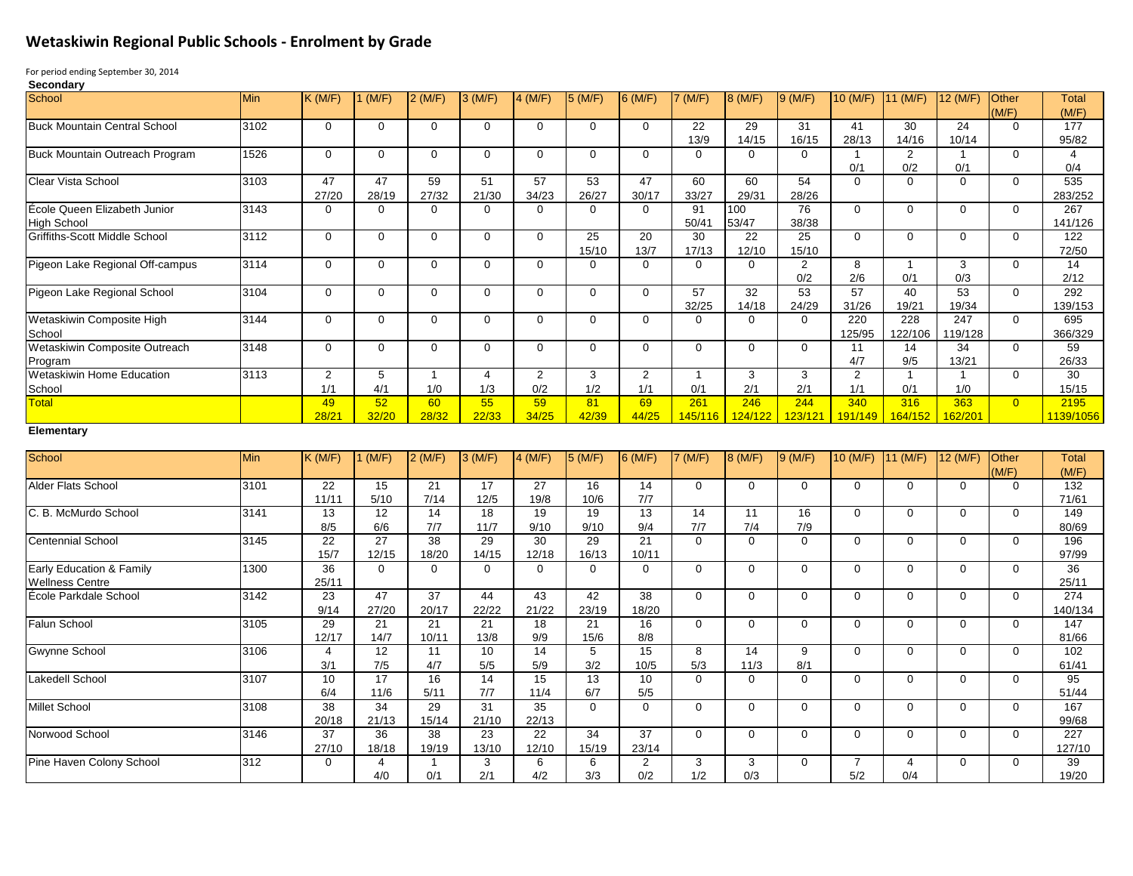## **Wetaskiwin Regional Public Schools - Enrolment by Grade**

For period ending September 30, 2014

| Min<br>3102 | K(M/F)<br>$\mathbf{0}$                                                                                                                      | (M/F)<br>$\mathbf 0$                                                                  | $2$ (M/F)                                                                     | 3(M/F)                                                                           | 4 (M/F)                                                                           | 5(M/F)                                                                        | $6$ (M/F)                                                                              | 7 (M/F)                                                                               | 8 (M/F)                                                          | 9(M/F)                                                            | 10 (M/F)                                                                | 11 (M/F)                                               | 12 (M/F)                                                              | Other                                                     | <b>Total</b>                |
|-------------|---------------------------------------------------------------------------------------------------------------------------------------------|---------------------------------------------------------------------------------------|-------------------------------------------------------------------------------|----------------------------------------------------------------------------------|-----------------------------------------------------------------------------------|-------------------------------------------------------------------------------|----------------------------------------------------------------------------------------|---------------------------------------------------------------------------------------|------------------------------------------------------------------|-------------------------------------------------------------------|-------------------------------------------------------------------------|--------------------------------------------------------|-----------------------------------------------------------------------|-----------------------------------------------------------|-----------------------------|
|             |                                                                                                                                             |                                                                                       |                                                                               |                                                                                  |                                                                                   |                                                                               |                                                                                        |                                                                                       |                                                                  |                                                                   |                                                                         |                                                        |                                                                       | (M/F)                                                     | (M/F)                       |
|             |                                                                                                                                             |                                                                                       | $\mathbf 0$                                                                   | $\mathbf{0}$                                                                     | 0                                                                                 | $\mathbf 0$                                                                   | $\mathbf{0}$                                                                           | 22<br>13/9                                                                            | 29<br>14/15                                                      | 31<br>16/15                                                       | 41<br>28/13                                                             | 30<br>14/16                                            | 24<br>10/14                                                           | $\Omega$                                                  | 177<br>95/82                |
| 1526        | $\mathbf 0$                                                                                                                                 | $\mathbf{0}$                                                                          | $\mathbf 0$                                                                   | $\mathbf 0$                                                                      | $\Omega$                                                                          | $\mathbf 0$                                                                   | $\mathbf 0$                                                                            | $\Omega$                                                                              | $\mathbf 0$                                                      | $\mathbf 0$                                                       |                                                                         | 2                                                      | $\mathbf{1}$                                                          | $\Omega$                                                  | 4<br>0/4                    |
|             | 47                                                                                                                                          | 47                                                                                    | 59                                                                            | 51                                                                               | 57                                                                                | 53                                                                            | 47                                                                                     | 60                                                                                    | 60                                                               | 54                                                                | $\Omega$                                                                | $\mathbf 0$                                            | $\overline{0}$                                                        | $\Omega$                                                  | 535<br>283/252              |
|             | $\mathbf 0$                                                                                                                                 | $\Omega$                                                                              | $\mathbf 0$                                                                   | $\mathbf 0$                                                                      | 0                                                                                 | $\Omega$                                                                      | $\mathbf 0$                                                                            | 91                                                                                    | 100                                                              | 76                                                                | $\Omega$                                                                | $\Omega$                                               | $\Omega$                                                              | $\Omega$                                                  | 267<br>141/126              |
|             | $\mathbf 0$                                                                                                                                 | $\Omega$                                                                              | $\mathbf 0$                                                                   | $\mathbf{0}$                                                                     | $\Omega$                                                                          | 25                                                                            | 20                                                                                     | 30                                                                                    | $\overline{22}$                                                  | $\overline{25}$                                                   | $\Omega$                                                                | $\Omega$                                               | $\Omega$                                                              | $\Omega$                                                  | 122<br>72/50                |
|             | $\mathbf 0$                                                                                                                                 | $\overline{0}$                                                                        | $\mathbf 0$                                                                   | $\mathbf 0$                                                                      | $\Omega$                                                                          | $\Omega$                                                                      | $\overline{0}$                                                                         | $\Omega$                                                                              | $\mathbf 0$                                                      | $\overline{2}$                                                    | 8                                                                       | $\overline{1}$                                         | 3                                                                     | $\Omega$                                                  | 14<br>2/12                  |
|             | $\mathbf 0$                                                                                                                                 | $\Omega$                                                                              | $\mathbf 0$                                                                   | $\mathbf 0$                                                                      | $\Omega$                                                                          | $\mathbf 0$                                                                   | $\mathbf 0$                                                                            | 57                                                                                    | 32                                                               | 53                                                                | 57                                                                      | 40                                                     | 53                                                                    | $\Omega$                                                  | 292<br>139/153              |
|             | $\mathbf{0}$                                                                                                                                | $\mathbf 0$                                                                           | $\mathbf 0$                                                                   | $\mathbf 0$                                                                      | $\Omega$                                                                          | $\mathbf 0$                                                                   | $\overline{0}$                                                                         | $\Omega$                                                                              | $\overline{0}$                                                   | $\overline{0}$                                                    | 220                                                                     | 228                                                    | 247                                                                   | $\Omega$                                                  | 695<br>366/329              |
|             | $\mathbf 0$                                                                                                                                 | $\Omega$                                                                              | $\mathbf 0$                                                                   | $\mathbf 0$                                                                      | $\Omega$                                                                          | $\Omega$                                                                      | $\mathbf 0$                                                                            | $\Omega$                                                                              | $\Omega$                                                         | $\mathbf 0$                                                       | 11                                                                      | 14                                                     | 34                                                                    | $\Omega$                                                  | 59<br>26/33                 |
|             | $\overline{2}$                                                                                                                              | 5                                                                                     | $\overline{1}$                                                                | $\overline{4}$                                                                   | $\overline{2}$                                                                    | 3                                                                             | $\overline{2}$                                                                         | $\overline{\mathbf{1}}$                                                               | 3                                                                | $\mathbf{3}$                                                      | $\overline{2}$                                                          | $\mathbf{1}$                                           | $\mathbf{1}$                                                          | $\Omega$                                                  | 30<br>15/15                 |
|             | 49                                                                                                                                          | 52                                                                                    | 60                                                                            | 55                                                                               | 59                                                                                | 81                                                                            | 69                                                                                     | 261                                                                                   | 246                                                              | 244                                                               | 340                                                                     | 316                                                    | 363                                                                   | $\overline{0}$                                            | 2195<br>1139/1056           |
|             |                                                                                                                                             |                                                                                       |                                                                               |                                                                                  |                                                                                   |                                                                               |                                                                                        |                                                                                       |                                                                  |                                                                   |                                                                         |                                                        |                                                                       |                                                           |                             |
|             | K(M/F)                                                                                                                                      | $1$ (M/F)                                                                             | $2$ (M/F)                                                                     | 3(M/F)                                                                           | $4$ (M/F)                                                                         | 5(M/F)                                                                        | $6$ (M/F)                                                                              | 7 (M/F)                                                                               | 8 (M/F)                                                          | 9(M/F)                                                            | 10 (M/F)                                                                |                                                        | 12 (M/F)                                                              | Other                                                     | <b>Total</b><br>(M/F)       |
|             | $\overline{22}$                                                                                                                             | 15                                                                                    | $\overline{21}$                                                               | 17                                                                               | $\overline{27}$                                                                   | 16                                                                            | 14                                                                                     | $\Omega$                                                                              | $\mathbf 0$                                                      | $\mathbf 0$                                                       | $\Omega$                                                                | $\Omega$                                               | $\overline{0}$                                                        | $\Omega$                                                  | 132<br>71/61                |
|             | 13                                                                                                                                          | 12                                                                                    | 14                                                                            | 18                                                                               | 19                                                                                | 19                                                                            | 13                                                                                     | 14                                                                                    | 11                                                               | 16                                                                | $\Omega$                                                                | $\Omega$                                               | $\Omega$                                                              | $\Omega$                                                  | 149<br>80/69                |
|             | 22                                                                                                                                          | 27                                                                                    | $\overline{38}$                                                               | $\overline{29}$                                                                  | 30                                                                                | 29                                                                            | 21                                                                                     | $\Omega$                                                                              | $\mathbf 0$                                                      | $\mathbf 0$                                                       | $\Omega$                                                                | $\Omega$                                               | $\Omega$                                                              | $\Omega$                                                  | 196<br>97/99                |
|             | 36                                                                                                                                          | $\overline{0}$                                                                        | $\mathbf 0$                                                                   | $\mathbf 0$                                                                      | $\Omega$                                                                          | $\Omega$                                                                      | $\mathbf 0$                                                                            | $\Omega$                                                                              | $\Omega$                                                         | $\mathbf 0$                                                       | $\Omega$                                                                | $\Omega$                                               | 0                                                                     | $\Omega$                                                  | 36<br>25/11                 |
|             | 23                                                                                                                                          | 47                                                                                    | $\overline{37}$                                                               | 44                                                                               | 43                                                                                | 42                                                                            | 38                                                                                     | $\Omega$                                                                              | $\Omega$                                                         | $\overline{0}$                                                    | $\Omega$                                                                | $\Omega$                                               | $\Omega$                                                              | $\Omega$                                                  | $\overline{274}$<br>140/134 |
|             | 29                                                                                                                                          | 21                                                                                    | 21                                                                            | $\overline{21}$                                                                  | $\overline{18}$                                                                   | $\overline{21}$                                                               | 16                                                                                     | $\overline{0}$                                                                        | $\mathbf 0$                                                      | $\mathbf 0$                                                       | 0                                                                       | $\mathbf 0$                                            | 0                                                                     | $\mathbf 0$                                               | $\overline{147}$<br>81/66   |
|             | $\overline{4}$                                                                                                                              | 12                                                                                    | 11                                                                            | 10                                                                               | 14                                                                                | $5\overline{)}$                                                               | 15                                                                                     | 8                                                                                     | 14                                                               | 9                                                                 | $\overline{0}$                                                          | $\mathbf 0$                                            | $\overline{0}$                                                        | $\Omega$                                                  | 102<br>61/41                |
|             | 10                                                                                                                                          | 17                                                                                    | 16                                                                            | $\overline{14}$                                                                  | 15                                                                                | 13                                                                            | 10                                                                                     | $\overline{0}$                                                                        | $\mathbf 0$                                                      | $\overline{0}$                                                    | $\overline{0}$                                                          | $\mathbf 0$                                            | $\overline{0}$                                                        | $\Omega$                                                  | 95<br>51/44                 |
|             | 38<br>20/18                                                                                                                                 | 34<br>21/13                                                                           | 29<br>15/14                                                                   | 31<br>21/10                                                                      | 35<br>22/13                                                                       | $\mathbf 0$                                                                   | $\overline{0}$                                                                         | $\overline{0}$                                                                        | $\mathbf 0$                                                      | $\overline{0}$                                                    | $\overline{0}$                                                          | $\mathbf 0$                                            | $\overline{0}$                                                        | $\Omega$                                                  | 167<br>99/68                |
|             |                                                                                                                                             |                                                                                       |                                                                               |                                                                                  |                                                                                   |                                                                               |                                                                                        |                                                                                       |                                                                  |                                                                   |                                                                         |                                                        |                                                                       |                                                           |                             |
| 3146        | 37<br>27/10                                                                                                                                 | 36<br>18/18                                                                           | 38<br>19/19                                                                   | 23<br>13/10                                                                      | 22<br>12/10                                                                       | 34<br>15/19                                                                   | 37<br>23/14                                                                            | $\overline{0}$                                                                        | $\mathbf 0$                                                      | $\mathbf 0$                                                       | $\mathbf 0$                                                             | $\mathbf 0$                                            | $\mathbf{0}$                                                          | $\Omega$                                                  | 227<br>127/10               |
|             | 3103<br>3143<br>3112<br>3114<br>3104<br>3144<br>3148<br>3113<br>Min<br>3101<br>3141<br>3145<br>1300<br>3142<br>3105<br>3106<br>3107<br>3108 | 27/20<br>1/1<br>28/21<br>11/11<br>8/5<br>15/7<br>25/11<br>9/14<br>12/17<br>3/1<br>6/4 | 28/19<br>4/1<br>32/20<br>5/10<br>6/6<br>12/15<br>27/20<br>14/7<br>7/5<br>11/6 | 27/32<br>1/0<br>28/32<br>7/14<br>7/7<br>18/20<br>20/17<br>10/11<br>4/7<br>$5/11$ | 21/30<br>1/3<br>22/33<br>12/5<br>11/7<br>14/15<br>22/22<br>13/8<br>$5/5$<br>$7/7$ | 34/23<br>0/2<br>34/25<br>19/8<br>9/10<br>12/18<br>21/22<br>9/9<br>5/9<br>11/4 | 26/27<br>15/10<br>1/2<br>42/39<br>10/6<br>9/10<br>16/13<br>23/19<br>15/6<br>3/2<br>6/7 | 30/17<br>13/7<br>1/1<br>44/25<br>7/7<br>9/4<br>10/11<br>18/20<br>8/8<br>10/5<br>$5/5$ | 33/27<br>50/41<br>17/13<br>32/25<br>0/1<br>145/116<br>7/7<br>5/3 | 29/31<br>53/47<br>12/10<br>14/18<br>2/1<br>124/122<br>7/4<br>11/3 | 28/26<br>38/38<br>15/10<br>0/2<br>24/29<br>2/1<br>123/121<br>7/9<br>8/1 | 0/1<br>2/6<br>31/26<br>125/95<br>4/7<br>1/1<br>191/149 | 0/2<br>0/1<br>19/21<br>122/106<br>9/5<br>0/1<br>164/152<br>$11$ (M/F) | 0/1<br>0/3<br>19/34<br>119/128<br>13/21<br>1/0<br>162/201 | (M/F)                       |